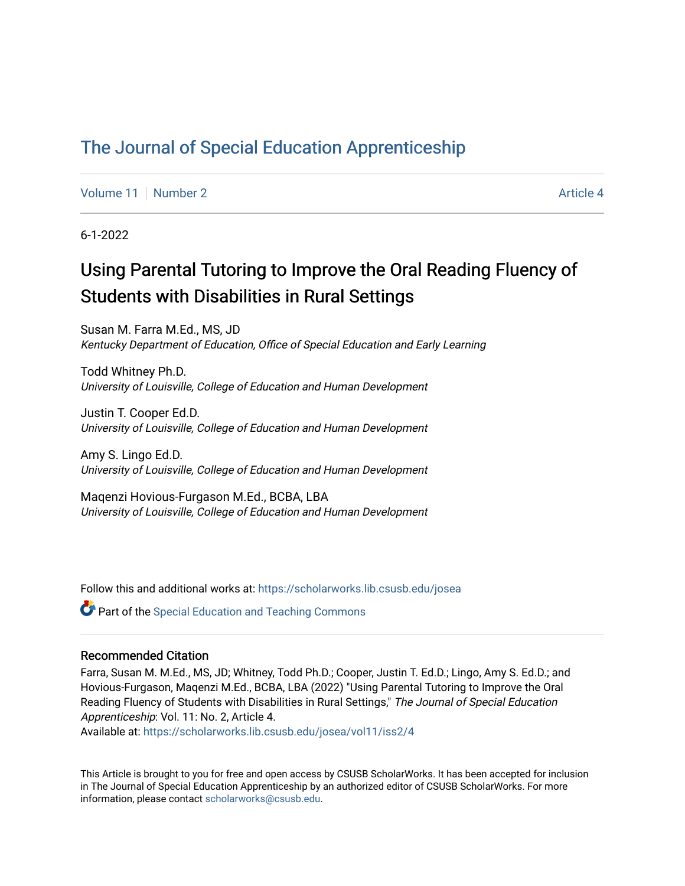# [The Journal of Special Education Apprenticeship](https://scholarworks.lib.csusb.edu/josea)

[Volume 11](https://scholarworks.lib.csusb.edu/josea/vol11) | [Number 2](https://scholarworks.lib.csusb.edu/josea/vol11/iss2) Article 4

6-1-2022

# Using Parental Tutoring to Improve the Oral Reading Fluency of Students with Disabilities in Rural Settings

Susan M. Farra M.Ed., MS, JD Kentucky Department of Education, Office of Special Education and Early Learning

Todd Whitney Ph.D. University of Louisville, College of Education and Human Development

Justin T. Cooper Ed.D. University of Louisville, College of Education and Human Development

Amy S. Lingo Ed.D. University of Louisville, College of Education and Human Development

Maqenzi Hovious-Furgason M.Ed., BCBA, LBA University of Louisville, College of Education and Human Development

Follow this and additional works at: [https://scholarworks.lib.csusb.edu/josea](https://scholarworks.lib.csusb.edu/josea?utm_source=scholarworks.lib.csusb.edu%2Fjosea%2Fvol11%2Fiss2%2F4&utm_medium=PDF&utm_campaign=PDFCoverPages) 

**Part of the Special Education and Teaching Commons** 

#### Recommended Citation

Farra, Susan M. M.Ed., MS, JD; Whitney, Todd Ph.D.; Cooper, Justin T. Ed.D.; Lingo, Amy S. Ed.D.; and Hovious-Furgason, Maqenzi M.Ed., BCBA, LBA (2022) "Using Parental Tutoring to Improve the Oral Reading Fluency of Students with Disabilities in Rural Settings," The Journal of Special Education Apprenticeship: Vol. 11: No. 2, Article 4.

Available at: [https://scholarworks.lib.csusb.edu/josea/vol11/iss2/4](https://scholarworks.lib.csusb.edu/josea/vol11/iss2/4?utm_source=scholarworks.lib.csusb.edu%2Fjosea%2Fvol11%2Fiss2%2F4&utm_medium=PDF&utm_campaign=PDFCoverPages)

This Article is brought to you for free and open access by CSUSB ScholarWorks. It has been accepted for inclusion in The Journal of Special Education Apprenticeship by an authorized editor of CSUSB ScholarWorks. For more information, please contact [scholarworks@csusb.edu.](mailto:scholarworks@csusb.edu)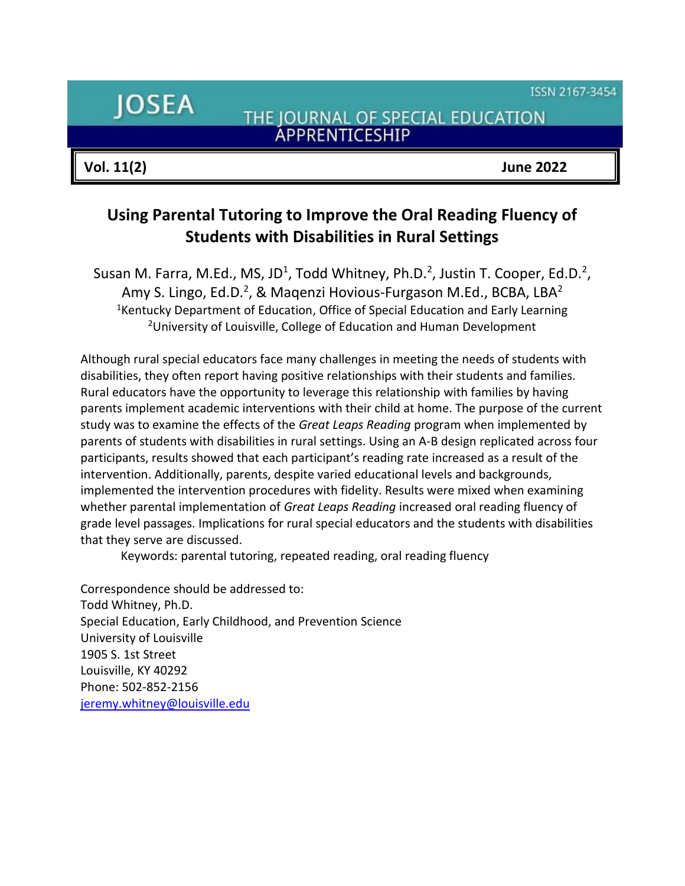ISSN 2167-3454

**JOSEA** 

THE JOURNAL OF SPECIAL EDUCATION ÁPPRENTICESHIP

**Vol. 11(2) June 2022**

# **Using Parental Tutoring to Improve the Oral Reading Fluency of Students with Disabilities in Rural Settings**

Susan M. Farra, M.Ed., MS, JD<sup>1</sup>, Todd Whitney, Ph.D.<sup>2</sup>, Justin T. Cooper, Ed.D.<sup>2</sup>, Amy S. Lingo, Ed.D.<sup>2</sup>, & Maqenzi Hovious-Furgason M.Ed., BCBA, LBA<sup>2</sup> <sup>1</sup>Kentucky Department of Education, Office of Special Education and Early Learning <sup>2</sup>University of Louisville, College of Education and Human Development

Although rural special educators face many challenges in meeting the needs of students with disabilities, they often report having positive relationships with their students and families. Rural educators have the opportunity to leverage this relationship with families by having parents implement academic interventions with their child at home. The purpose of the current study was to examine the effects of the *Great Leaps Reading* program when implemented by parents of students with disabilities in rural settings. Using an A-B design replicated across four participants, results showed that each participant's reading rate increased as a result of the intervention. Additionally, parents, despite varied educational levels and backgrounds, implemented the intervention procedures with fidelity. Results were mixed when examining whether parental implementation of *Great Leaps Reading* increased oral reading fluency of grade level passages. Implications for rural special educators and the students with disabilities that they serve are discussed.

Keywords: parental tutoring, repeated reading, oral reading fluency

Correspondence should be addressed to: Todd Whitney, Ph.D. Special Education, Early Childhood, and Prevention Science University of Louisville 1905 S. 1st Street Louisville, KY 40292 Phone: 502-852-2156 [jeremy.whitney@louisville.edu](mailto:jeremy.whitney@louisville.edu)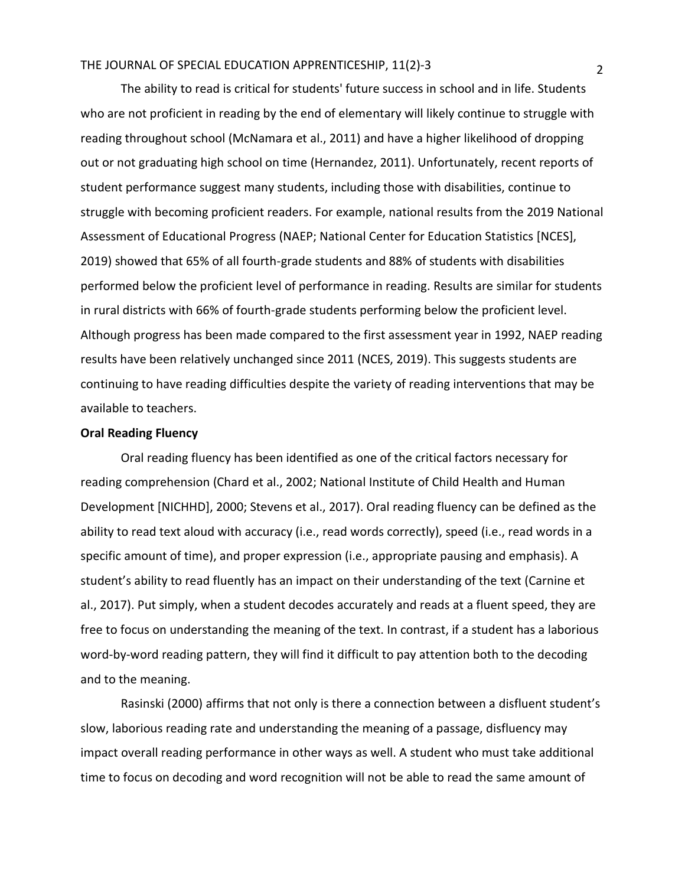The ability to read is critical for students' future success in school and in life. Students who are not proficient in reading by the end of elementary will likely continue to struggle with reading throughout school (McNamara et al., 2011) and have a higher likelihood of dropping out or not graduating high school on time (Hernandez, 2011). Unfortunately, recent reports of student performance suggest many students, including those with disabilities, continue to struggle with becoming proficient readers. For example, national results from the 2019 National Assessment of Educational Progress (NAEP; National Center for Education Statistics [NCES], 2019) showed that 65% of all fourth-grade students and 88% of students with disabilities performed below the proficient level of performance in reading. Results are similar for students in rural districts with 66% of fourth-grade students performing below the proficient level. Although progress has been made compared to the first assessment year in 1992, NAEP reading results have been relatively unchanged since 2011 (NCES, 2019). This suggests students are continuing to have reading difficulties despite the variety of reading interventions that may be available to teachers.

#### **Oral Reading Fluency**

Oral reading fluency has been identified as one of the critical factors necessary for reading comprehension (Chard et al., 2002; National Institute of Child Health and Human Development [NICHHD], 2000; Stevens et al., 2017). Oral reading fluency can be defined as the ability to read text aloud with accuracy (i.e., read words correctly), speed (i.e., read words in a specific amount of time), and proper expression (i.e., appropriate pausing and emphasis). A student's ability to read fluently has an impact on their understanding of the text (Carnine et al., 2017). Put simply, when a student decodes accurately and reads at a fluent speed, they are free to focus on understanding the meaning of the text. In contrast, if a student has a laborious word-by-word reading pattern, they will find it difficult to pay attention both to the decoding and to the meaning.

Rasinski (2000) affirms that not only is there a connection between a disfluent student's slow, laborious reading rate and understanding the meaning of a passage, disfluency may impact overall reading performance in other ways as well. A student who must take additional time to focus on decoding and word recognition will not be able to read the same amount of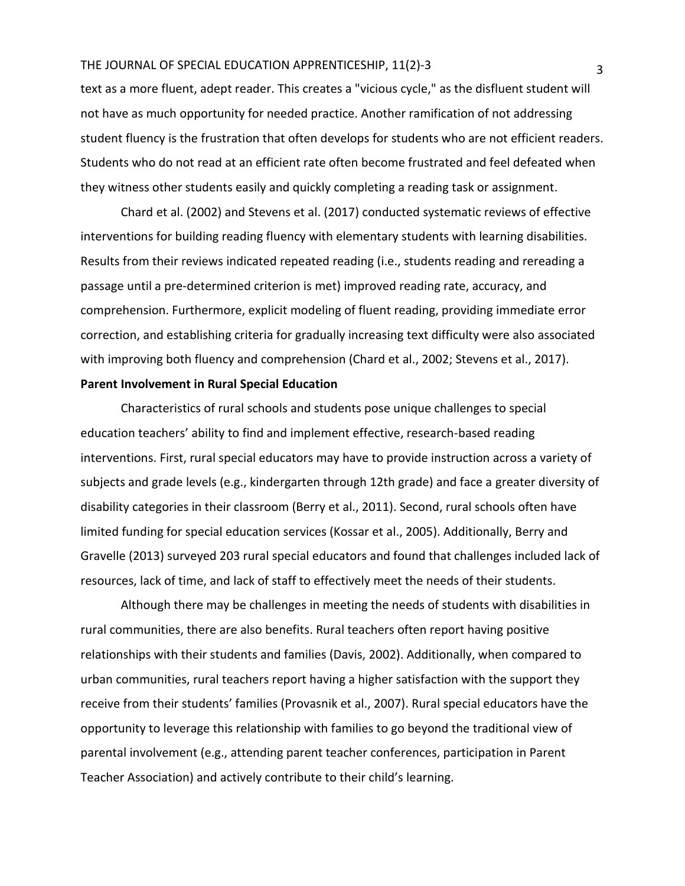text as a more fluent, adept reader. This creates a "vicious cycle," as the disfluent student will not have as much opportunity for needed practice. Another ramification of not addressing student fluency is the frustration that often develops for students who are not efficient readers. Students who do not read at an efficient rate often become frustrated and feel defeated when they witness other students easily and quickly completing a reading task or assignment.

Chard et al. (2002) and Stevens et al. (2017) conducted systematic reviews of effective interventions for building reading fluency with elementary students with learning disabilities. Results from their reviews indicated repeated reading (i.e., students reading and rereading a passage until a pre-determined criterion is met) improved reading rate, accuracy, and comprehension. Furthermore, explicit modeling of fluent reading, providing immediate error correction, and establishing criteria for gradually increasing text difficulty were also associated with improving both fluency and comprehension (Chard et al., 2002; Stevens et al., 2017).

# **Parent Involvement in Rural Special Education**

Characteristics of rural schools and students pose unique challenges to special education teachers' ability to find and implement effective, research-based reading interventions. First, rural special educators may have to provide instruction across a variety of subjects and grade levels (e.g., kindergarten through 12th grade) and face a greater diversity of disability categories in their classroom (Berry et al., 2011). Second, rural schools often have limited funding for special education services (Kossar et al., 2005). Additionally, Berry and Gravelle (2013) surveyed 203 rural special educators and found that challenges included lack of resources, lack of time, and lack of staff to effectively meet the needs of their students.

Although there may be challenges in meeting the needs of students with disabilities in rural communities, there are also benefits. Rural teachers often report having positive relationships with their students and families (Davis, 2002). Additionally, when compared to urban communities, rural teachers report having a higher satisfaction with the support they receive from their students' families (Provasnik et al., 2007). Rural special educators have the opportunity to leverage this relationship with families to go beyond the traditional view of parental involvement (e.g., attending parent teacher conferences, participation in Parent Teacher Association) and actively contribute to their child's learning.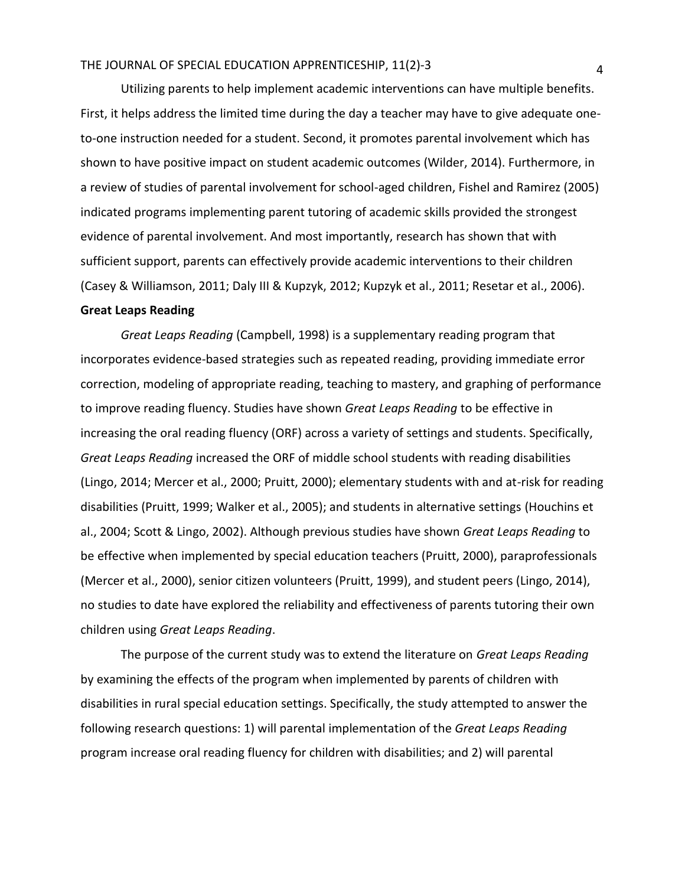Utilizing parents to help implement academic interventions can have multiple benefits. First, it helps address the limited time during the day a teacher may have to give adequate oneto-one instruction needed for a student. Second, it promotes parental involvement which has shown to have positive impact on student academic outcomes (Wilder, 2014). Furthermore, in a review of studies of parental involvement for school-aged children, Fishel and Ramirez (2005) indicated programs implementing parent tutoring of academic skills provided the strongest evidence of parental involvement. And most importantly, research has shown that with sufficient support, parents can effectively provide academic interventions to their children (Casey & Williamson, 2011; Daly III & Kupzyk, 2012; Kupzyk et al., 2011; Resetar et al., 2006). **Great Leaps Reading**

*Great Leaps Reading* (Campbell, 1998) is a supplementary reading program that incorporates evidence-based strategies such as repeated reading, providing immediate error correction, modeling of appropriate reading, teaching to mastery, and graphing of performance to improve reading fluency. Studies have shown *Great Leaps Reading* to be effective in increasing the oral reading fluency (ORF) across a variety of settings and students. Specifically, *Great Leaps Reading* increased the ORF of middle school students with reading disabilities (Lingo, 2014; Mercer et al., 2000; Pruitt, 2000); elementary students with and at-risk for reading disabilities (Pruitt, 1999; Walker et al., 2005); and students in alternative settings (Houchins et al., 2004; Scott & Lingo, 2002). Although previous studies have shown *Great Leaps Reading* to be effective when implemented by special education teachers (Pruitt, 2000), paraprofessionals (Mercer et al., 2000), senior citizen volunteers (Pruitt, 1999), and student peers (Lingo, 2014), no studies to date have explored the reliability and effectiveness of parents tutoring their own children using *Great Leaps Reading*.

The purpose of the current study was to extend the literature on *Great Leaps Reading* by examining the effects of the program when implemented by parents of children with disabilities in rural special education settings. Specifically, the study attempted to answer the following research questions: 1) will parental implementation of the *Great Leaps Reading* program increase oral reading fluency for children with disabilities; and 2) will parental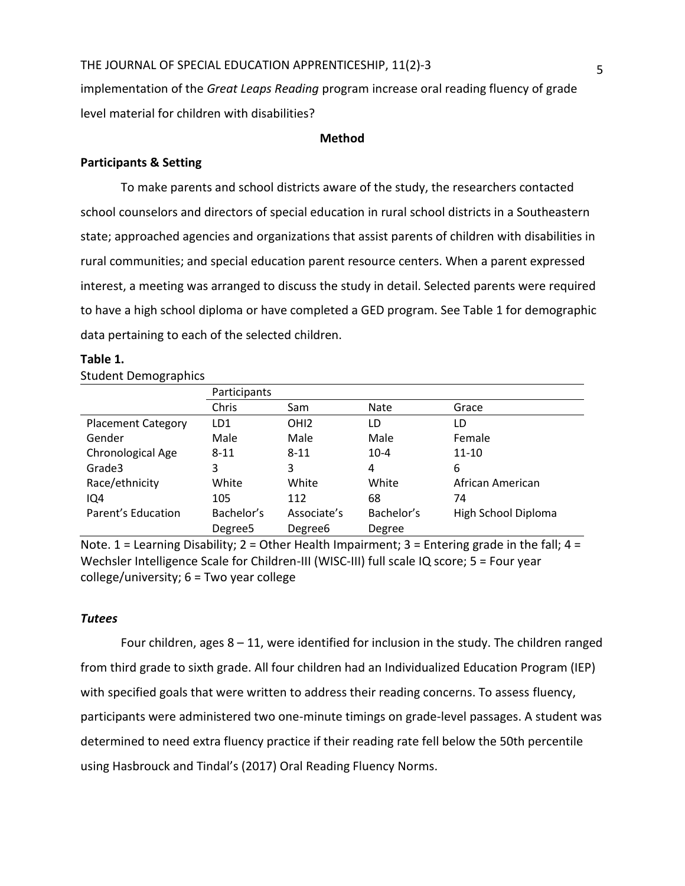implementation of the *Great Leaps Reading* program increase oral reading fluency of grade level material for children with disabilities?

#### **Method**

#### **Participants & Setting**

To make parents and school districts aware of the study, the researchers contacted school counselors and directors of special education in rural school districts in a Southeastern state; approached agencies and organizations that assist parents of children with disabilities in rural communities; and special education parent resource centers. When a parent expressed interest, a meeting was arranged to discuss the study in detail. Selected parents were required to have a high school diploma or have completed a GED program. See Table 1 for demographic data pertaining to each of the selected children.

#### **Table 1.**

#### Student Demographics

|                           | Participants        |                     |            |                     |  |  |
|---------------------------|---------------------|---------------------|------------|---------------------|--|--|
|                           | Chris               | Sam                 | Nate       | Grace               |  |  |
| <b>Placement Category</b> | LD1                 | OH <sub>12</sub>    | LD         | LD                  |  |  |
| Gender                    | Male                | Male                | Male       | Female              |  |  |
| Chronological Age         | $8 - 11$            | $8 - 11$            | $10 - 4$   | $11 - 10$           |  |  |
| Grade3                    | 3                   | 3                   | 4          | 6                   |  |  |
| Race/ethnicity            | White               | White               | White      | African American    |  |  |
| IQ4                       | 105                 | 112                 | 68         | 74                  |  |  |
| Parent's Education        | Bachelor's          | Associate's         | Bachelor's | High School Diploma |  |  |
|                           | Degree <sub>5</sub> | Degree <sub>6</sub> | Degree     |                     |  |  |

Note. 1 = Learning Disability; 2 = Other Health Impairment; 3 = Entering grade in the fall; 4 = Wechsler Intelligence Scale for Children-III (WISC-III) full scale IQ score; 5 = Four year college/university; 6 = Two year college

#### *Tutees*

Four children, ages  $8 - 11$ , were identified for inclusion in the study. The children ranged from third grade to sixth grade. All four children had an Individualized Education Program (IEP) with specified goals that were written to address their reading concerns. To assess fluency, participants were administered two one-minute timings on grade-level passages. A student was determined to need extra fluency practice if their reading rate fell below the 50th percentile using Hasbrouck and Tindal's (2017) Oral Reading Fluency Norms.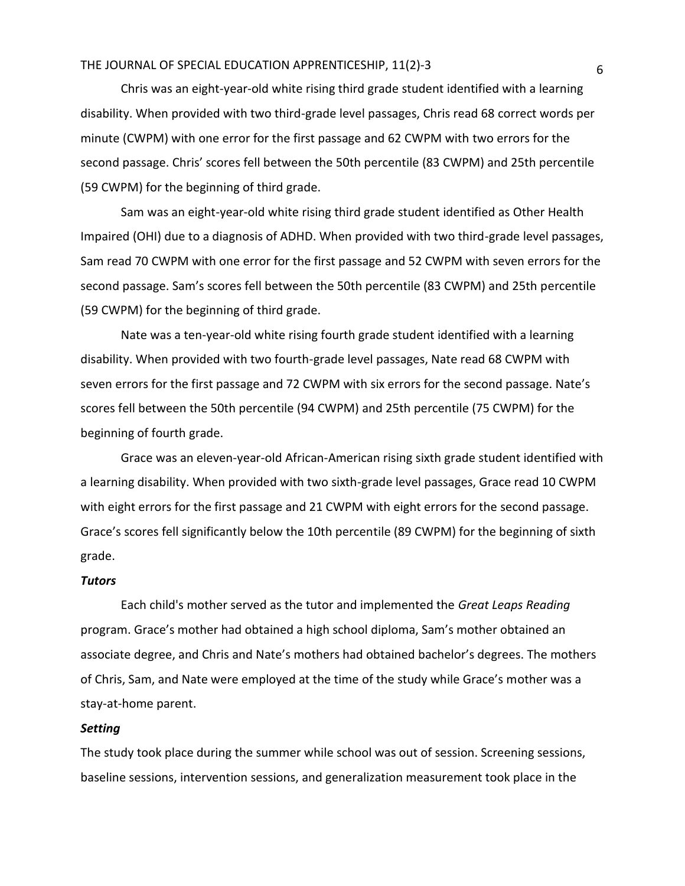Chris was an eight-year-old white rising third grade student identified with a learning disability. When provided with two third-grade level passages, Chris read 68 correct words per minute (CWPM) with one error for the first passage and 62 CWPM with two errors for the second passage. Chris' scores fell between the 50th percentile (83 CWPM) and 25th percentile (59 CWPM) for the beginning of third grade.

Sam was an eight-year-old white rising third grade student identified as Other Health Impaired (OHI) due to a diagnosis of ADHD. When provided with two third-grade level passages, Sam read 70 CWPM with one error for the first passage and 52 CWPM with seven errors for the second passage. Sam's scores fell between the 50th percentile (83 CWPM) and 25th percentile (59 CWPM) for the beginning of third grade.

Nate was a ten-year-old white rising fourth grade student identified with a learning disability. When provided with two fourth-grade level passages, Nate read 68 CWPM with seven errors for the first passage and 72 CWPM with six errors for the second passage. Nate's scores fell between the 50th percentile (94 CWPM) and 25th percentile (75 CWPM) for the beginning of fourth grade.

Grace was an eleven-year-old African-American rising sixth grade student identified with a learning disability. When provided with two sixth-grade level passages, Grace read 10 CWPM with eight errors for the first passage and 21 CWPM with eight errors for the second passage. Grace's scores fell significantly below the 10th percentile (89 CWPM) for the beginning of sixth grade.

#### *Tutors*

Each child's mother served as the tutor and implemented the *Great Leaps Reading* program. Grace's mother had obtained a high school diploma, Sam's mother obtained an associate degree, and Chris and Nate's mothers had obtained bachelor's degrees. The mothers of Chris, Sam, and Nate were employed at the time of the study while Grace's mother was a stay-at-home parent.

#### *Setting*

The study took place during the summer while school was out of session. Screening sessions, baseline sessions, intervention sessions, and generalization measurement took place in the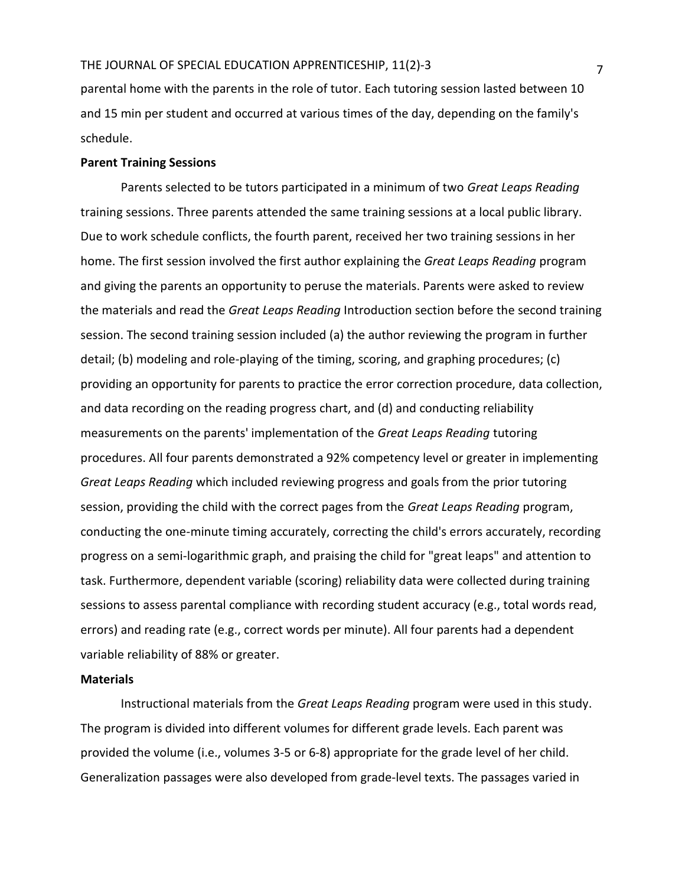parental home with the parents in the role of tutor. Each tutoring session lasted between 10 and 15 min per student and occurred at various times of the day, depending on the family's schedule.

#### **Parent Training Sessions**

Parents selected to be tutors participated in a minimum of two *Great Leaps Reading* training sessions. Three parents attended the same training sessions at a local public library. Due to work schedule conflicts, the fourth parent, received her two training sessions in her home. The first session involved the first author explaining the *Great Leaps Reading* program and giving the parents an opportunity to peruse the materials. Parents were asked to review the materials and read the *Great Leaps Reading* Introduction section before the second training session. The second training session included (a) the author reviewing the program in further detail; (b) modeling and role-playing of the timing, scoring, and graphing procedures; (c) providing an opportunity for parents to practice the error correction procedure, data collection, and data recording on the reading progress chart, and (d) and conducting reliability measurements on the parents' implementation of the *Great Leaps Reading* tutoring procedures. All four parents demonstrated a 92% competency level or greater in implementing *Great Leaps Reading* which included reviewing progress and goals from the prior tutoring session, providing the child with the correct pages from the *Great Leaps Reading* program, conducting the one-minute timing accurately, correcting the child's errors accurately, recording progress on a semi-logarithmic graph, and praising the child for "great leaps" and attention to task. Furthermore, dependent variable (scoring) reliability data were collected during training sessions to assess parental compliance with recording student accuracy (e.g., total words read, errors) and reading rate (e.g., correct words per minute). All four parents had a dependent variable reliability of 88% or greater.

#### **Materials**

Instructional materials from the *Great Leaps Reading* program were used in this study. The program is divided into different volumes for different grade levels. Each parent was provided the volume (i.e., volumes 3-5 or 6-8) appropriate for the grade level of her child. Generalization passages were also developed from grade-level texts. The passages varied in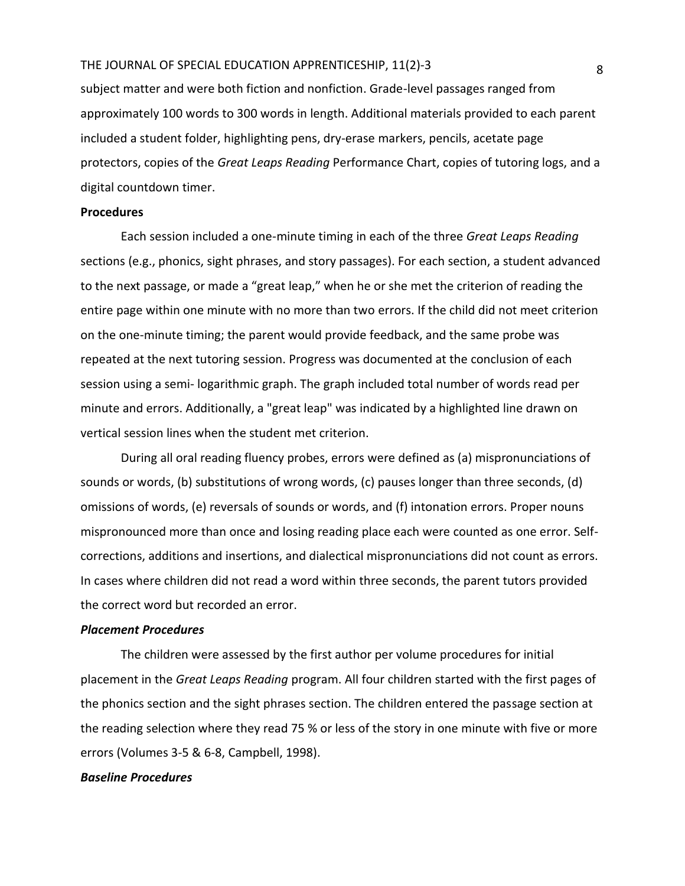subject matter and were both fiction and nonfiction. Grade-level passages ranged from approximately 100 words to 300 words in length. Additional materials provided to each parent included a student folder, highlighting pens, dry-erase markers, pencils, acetate page protectors, copies of the *Great Leaps Reading* Performance Chart, copies of tutoring logs, and a digital countdown timer.

#### **Procedures**

Each session included a one-minute timing in each of the three *Great Leaps Reading* sections (e.g., phonics, sight phrases, and story passages). For each section, a student advanced to the next passage, or made a "great leap," when he or she met the criterion of reading the entire page within one minute with no more than two errors. If the child did not meet criterion on the one-minute timing; the parent would provide feedback, and the same probe was repeated at the next tutoring session. Progress was documented at the conclusion of each session using a semi- logarithmic graph. The graph included total number of words read per minute and errors. Additionally, a "great leap" was indicated by a highlighted line drawn on vertical session lines when the student met criterion.

During all oral reading fluency probes, errors were defined as (a) mispronunciations of sounds or words, (b) substitutions of wrong words, (c) pauses longer than three seconds, (d) omissions of words, (e) reversals of sounds or words, and (f) intonation errors. Proper nouns mispronounced more than once and losing reading place each were counted as one error. Selfcorrections, additions and insertions, and dialectical mispronunciations did not count as errors. In cases where children did not read a word within three seconds, the parent tutors provided the correct word but recorded an error.

#### *Placement Procedures*

The children were assessed by the first author per volume procedures for initial placement in the *Great Leaps Reading* program. All four children started with the first pages of the phonics section and the sight phrases section. The children entered the passage section at the reading selection where they read 75 % or less of the story in one minute with five or more errors (Volumes 3-5 & 6-8, Campbell, 1998).

# *Baseline Procedures*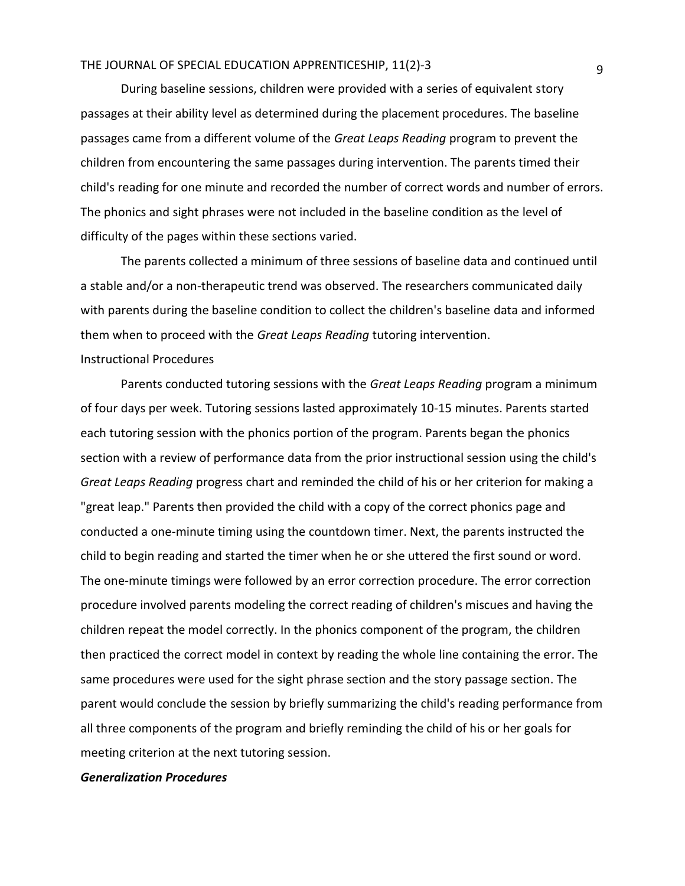During baseline sessions, children were provided with a series of equivalent story passages at their ability level as determined during the placement procedures. The baseline passages came from a different volume of the *Great Leaps Reading* program to prevent the children from encountering the same passages during intervention. The parents timed their child's reading for one minute and recorded the number of correct words and number of errors. The phonics and sight phrases were not included in the baseline condition as the level of difficulty of the pages within these sections varied.

The parents collected a minimum of three sessions of baseline data and continued until a stable and/or a non-therapeutic trend was observed. The researchers communicated daily with parents during the baseline condition to collect the children's baseline data and informed them when to proceed with the *Great Leaps Reading* tutoring intervention. Instructional Procedures

Parents conducted tutoring sessions with the *Great Leaps Reading* program a minimum of four days per week. Tutoring sessions lasted approximately 10-15 minutes. Parents started each tutoring session with the phonics portion of the program. Parents began the phonics section with a review of performance data from the prior instructional session using the child's *Great Leaps Reading* progress chart and reminded the child of his or her criterion for making a "great leap." Parents then provided the child with a copy of the correct phonics page and conducted a one-minute timing using the countdown timer. Next, the parents instructed the child to begin reading and started the timer when he or she uttered the first sound or word. The one-minute timings were followed by an error correction procedure. The error correction procedure involved parents modeling the correct reading of children's miscues and having the children repeat the model correctly. In the phonics component of the program, the children then practiced the correct model in context by reading the whole line containing the error. The same procedures were used for the sight phrase section and the story passage section. The parent would conclude the session by briefly summarizing the child's reading performance from all three components of the program and briefly reminding the child of his or her goals for meeting criterion at the next tutoring session.

#### *Generalization Procedures*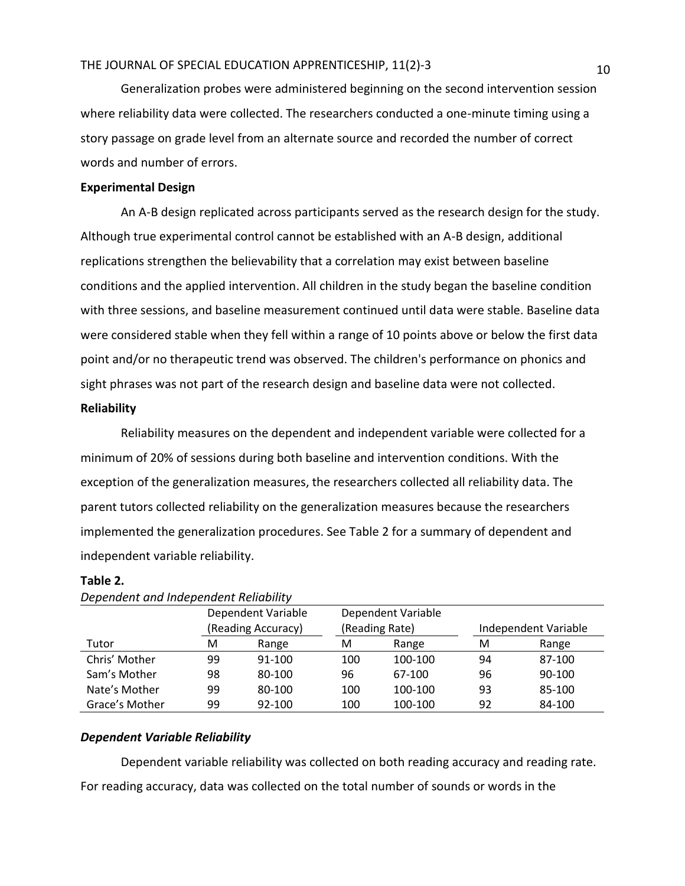Generalization probes were administered beginning on the second intervention session where reliability data were collected. The researchers conducted a one-minute timing using a story passage on grade level from an alternate source and recorded the number of correct words and number of errors.

### **Experimental Design**

An A-B design replicated across participants served as the research design for the study. Although true experimental control cannot be established with an A-B design, additional replications strengthen the believability that a correlation may exist between baseline conditions and the applied intervention. All children in the study began the baseline condition with three sessions, and baseline measurement continued until data were stable. Baseline data were considered stable when they fell within a range of 10 points above or below the first data point and/or no therapeutic trend was observed. The children's performance on phonics and sight phrases was not part of the research design and baseline data were not collected.

# **Reliability**

Reliability measures on the dependent and independent variable were collected for a minimum of 20% of sessions during both baseline and intervention conditions. With the exception of the generalization measures, the researchers collected all reliability data. The parent tutors collected reliability on the generalization measures because the researchers implemented the generalization procedures. See Table 2 for a summary of dependent and independent variable reliability.

#### **Table 2.**

|                | Dependent Variable |        |                | Dependent Variable |                      |        |
|----------------|--------------------|--------|----------------|--------------------|----------------------|--------|
|                | (Reading Accuracy) |        | (Reading Rate) |                    | Independent Variable |        |
| Tutor          | м                  | Range  | М              | Range              | м                    | Range  |
| Chris' Mother  | 99                 | 91-100 | 100            | 100-100            | 94                   | 87-100 |
| Sam's Mother   | 98                 | 80-100 | 96             | 67-100             | 96                   | 90-100 |
| Nate's Mother  | 99                 | 80-100 | 100            | 100-100            | 93                   | 85-100 |
| Grace's Mother | 99                 | 92-100 | 100            | 100-100            | 92                   | 84-100 |

#### *Dependent and Independent Reliability*

#### *Dependent Variable Reliability*

Dependent variable reliability was collected on both reading accuracy and reading rate. For reading accuracy, data was collected on the total number of sounds or words in the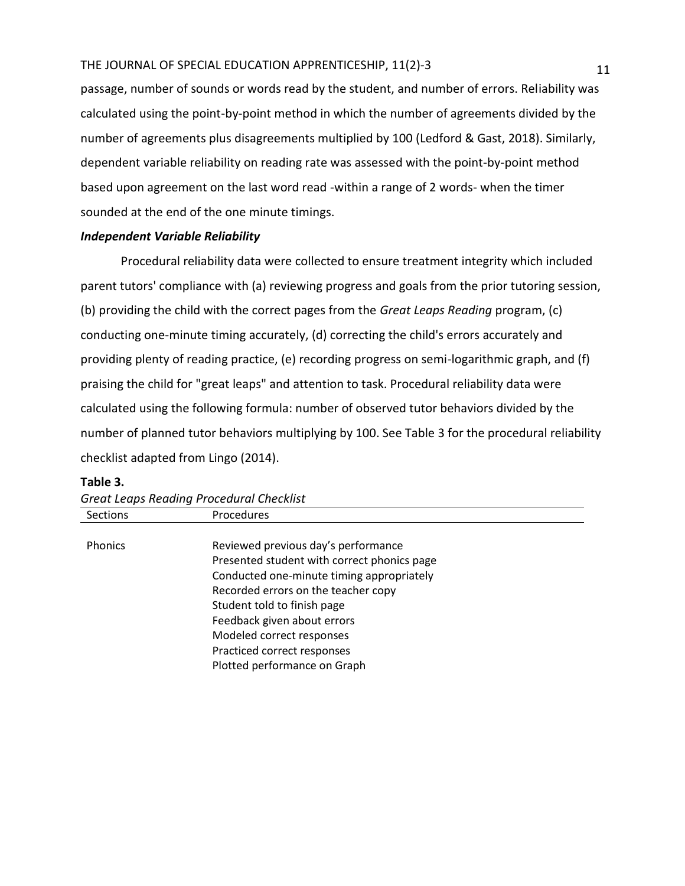passage, number of sounds or words read by the student, and number of errors. Reliability was calculated using the point-by-point method in which the number of agreements divided by the number of agreements plus disagreements multiplied by 100 (Ledford & Gast, 2018). Similarly, dependent variable reliability on reading rate was assessed with the point-by-point method based upon agreement on the last word read -within a range of 2 words- when the timer sounded at the end of the one minute timings.

# *Independent Variable Reliability*

Procedural reliability data were collected to ensure treatment integrity which included parent tutors' compliance with (a) reviewing progress and goals from the prior tutoring session, (b) providing the child with the correct pages from the *Great Leaps Reading* program, (c) conducting one-minute timing accurately, (d) correcting the child's errors accurately and providing plenty of reading practice, (e) recording progress on semi-logarithmic graph, and (f) praising the child for "great leaps" and attention to task. Procedural reliability data were calculated using the following formula: number of observed tutor behaviors divided by the number of planned tutor behaviors multiplying by 100. See Table 3 for the procedural reliability checklist adapted from Lingo (2014).

| <b>Great Leaps Reading Procedural Checklist</b> |                                             |  |  |
|-------------------------------------------------|---------------------------------------------|--|--|
| Sections                                        | Procedures                                  |  |  |
| <b>Phonics</b>                                  | Reviewed previous day's performance         |  |  |
|                                                 | Presented student with correct phonics page |  |  |
|                                                 | Conducted one-minute timing appropriately   |  |  |
|                                                 | Recorded errors on the teacher copy         |  |  |
|                                                 | Student told to finish page                 |  |  |
|                                                 | Feedback given about errors                 |  |  |
|                                                 | Modeled correct responses                   |  |  |
|                                                 | Practiced correct responses                 |  |  |
|                                                 | Plotted performance on Graph                |  |  |

#### **Table 3.**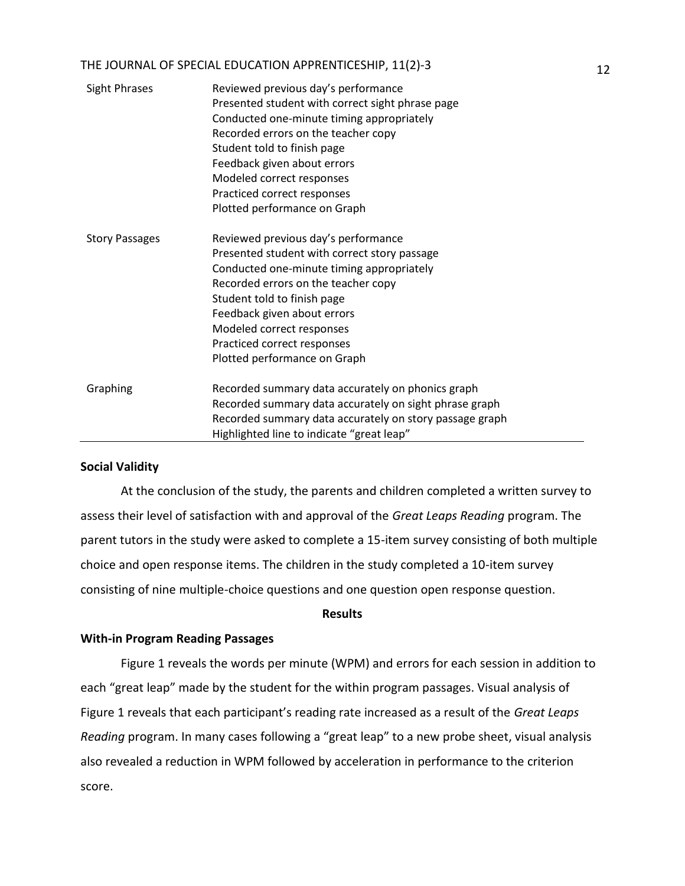| Sight Phrases         | Reviewed previous day's performance<br>Presented student with correct sight phrase page<br>Conducted one-minute timing appropriately<br>Recorded errors on the teacher copy<br>Student told to finish page<br>Feedback given about errors<br>Modeled correct responses<br>Practiced correct responses<br>Plotted performance on Graph |
|-----------------------|---------------------------------------------------------------------------------------------------------------------------------------------------------------------------------------------------------------------------------------------------------------------------------------------------------------------------------------|
| <b>Story Passages</b> | Reviewed previous day's performance<br>Presented student with correct story passage<br>Conducted one-minute timing appropriately<br>Recorded errors on the teacher copy<br>Student told to finish page<br>Feedback given about errors<br>Modeled correct responses<br>Practiced correct responses<br>Plotted performance on Graph     |
| Graphing              | Recorded summary data accurately on phonics graph<br>Recorded summary data accurately on sight phrase graph<br>Recorded summary data accurately on story passage graph<br>Highlighted line to indicate "great leap"                                                                                                                   |

#### **Social Validity**

At the conclusion of the study, the parents and children completed a written survey to assess their level of satisfaction with and approval of the *Great Leaps Reading* program. The parent tutors in the study were asked to complete a 15-item survey consisting of both multiple choice and open response items. The children in the study completed a 10-item survey consisting of nine multiple-choice questions and one question open response question.

#### **Results**

#### **With-in Program Reading Passages**

Figure 1 reveals the words per minute (WPM) and errors for each session in addition to each "great leap" made by the student for the within program passages. Visual analysis of Figure 1 reveals that each participant's reading rate increased as a result of the *Great Leaps Reading* program. In many cases following a "great leap" to a new probe sheet, visual analysis also revealed a reduction in WPM followed by acceleration in performance to the criterion score.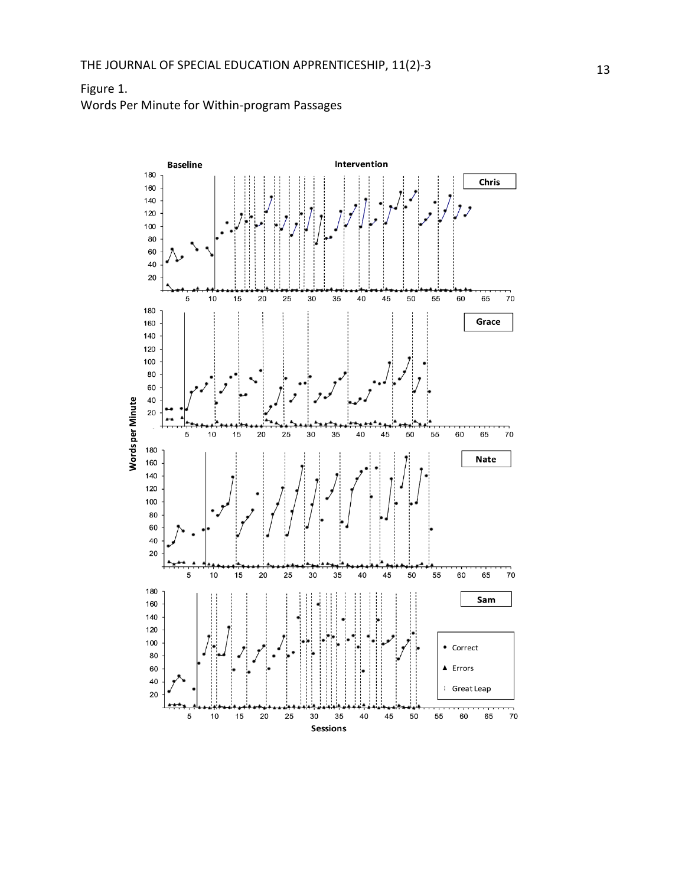# Figure 1. Words Per Minute for Within -program Passages

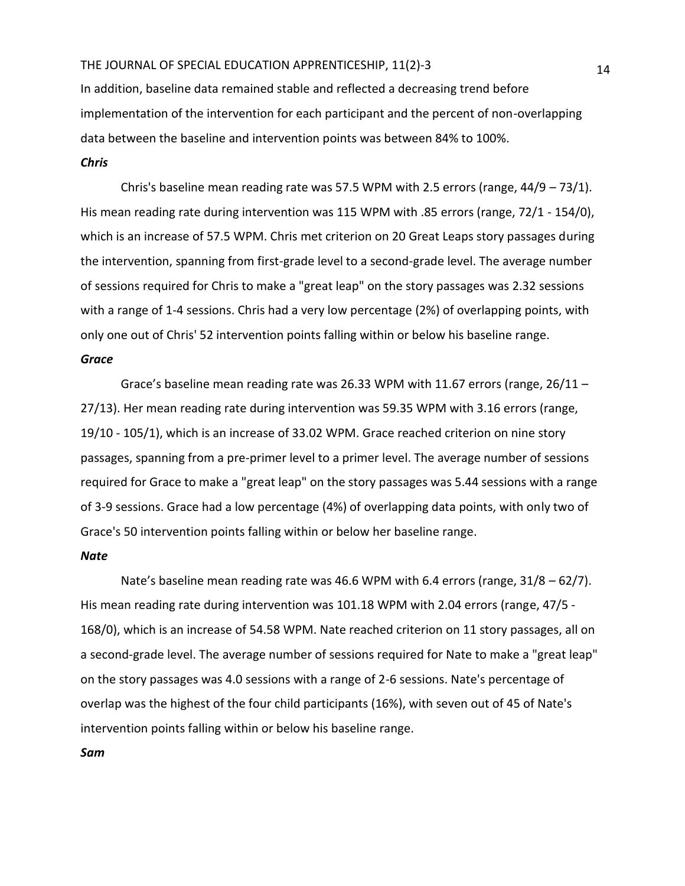In addition, baseline data remained stable and reflected a decreasing trend before implementation of the intervention for each participant and the percent of non-overlapping data between the baseline and intervention points was between 84% to 100%.

#### *Chris*

Chris's baseline mean reading rate was 57.5 WPM with 2.5 errors (range,  $44/9 - 73/1$ ). His mean reading rate during intervention was 115 WPM with .85 errors (range, 72/1 - 154/0), which is an increase of 57.5 WPM. Chris met criterion on 20 Great Leaps story passages during the intervention, spanning from first-grade level to a second-grade level. The average number of sessions required for Chris to make a "great leap" on the story passages was 2.32 sessions with a range of 1-4 sessions. Chris had a very low percentage (2%) of overlapping points, with only one out of Chris' 52 intervention points falling within or below his baseline range.

#### *Grace*

Grace's baseline mean reading rate was 26.33 WPM with 11.67 errors (range,  $26/11 -$ 27/13). Her mean reading rate during intervention was 59.35 WPM with 3.16 errors (range, 19/10 - 105/1), which is an increase of 33.02 WPM. Grace reached criterion on nine story passages, spanning from a pre-primer level to a primer level. The average number of sessions required for Grace to make a "great leap" on the story passages was 5.44 sessions with a range of 3-9 sessions. Grace had a low percentage (4%) of overlapping data points, with only two of Grace's 50 intervention points falling within or below her baseline range.

# *Nate*

Nate's baseline mean reading rate was 46.6 WPM with 6.4 errors (range, 31/8 – 62/7). His mean reading rate during intervention was 101.18 WPM with 2.04 errors (range, 47/5 - 168/0), which is an increase of 54.58 WPM. Nate reached criterion on 11 story passages, all on a second-grade level. The average number of sessions required for Nate to make a "great leap" on the story passages was 4.0 sessions with a range of 2-6 sessions. Nate's percentage of overlap was the highest of the four child participants (16%), with seven out of 45 of Nate's intervention points falling within or below his baseline range.

*Sam*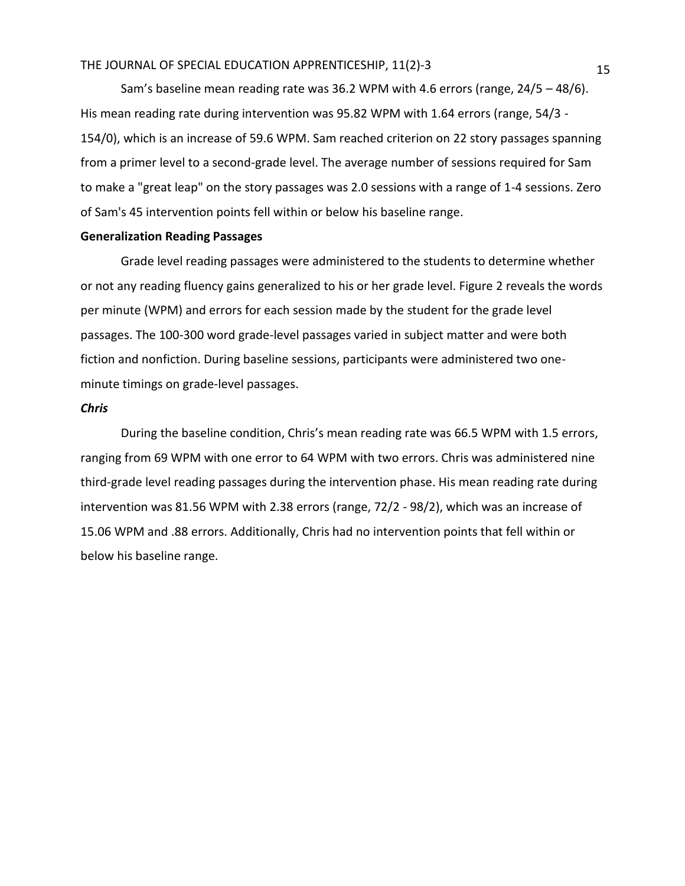Sam's baseline mean reading rate was 36.2 WPM with 4.6 errors (range, 24/5 – 48/6). His mean reading rate during intervention was 95.82 WPM with 1.64 errors (range, 54/3 - 154/0), which is an increase of 59.6 WPM. Sam reached criterion on 22 story passages spanning from a primer level to a second-grade level. The average number of sessions required for Sam to make a "great leap" on the story passages was 2.0 sessions with a range of 1-4 sessions. Zero of Sam's 45 intervention points fell within or below his baseline range.

# **Generalization Reading Passages**

Grade level reading passages were administered to the students to determine whether or not any reading fluency gains generalized to his or her grade level. Figure 2 reveals the words per minute (WPM) and errors for each session made by the student for the grade level passages. The 100-300 word grade-level passages varied in subject matter and were both fiction and nonfiction. During baseline sessions, participants were administered two oneminute timings on grade-level passages.

#### *Chris*

During the baseline condition, Chris's mean reading rate was 66.5 WPM with 1.5 errors, ranging from 69 WPM with one error to 64 WPM with two errors. Chris was administered nine third-grade level reading passages during the intervention phase. His mean reading rate during intervention was 81.56 WPM with 2.38 errors (range, 72/2 - 98/2), which was an increase of 15.06 WPM and .88 errors. Additionally, Chris had no intervention points that fell within or below his baseline range.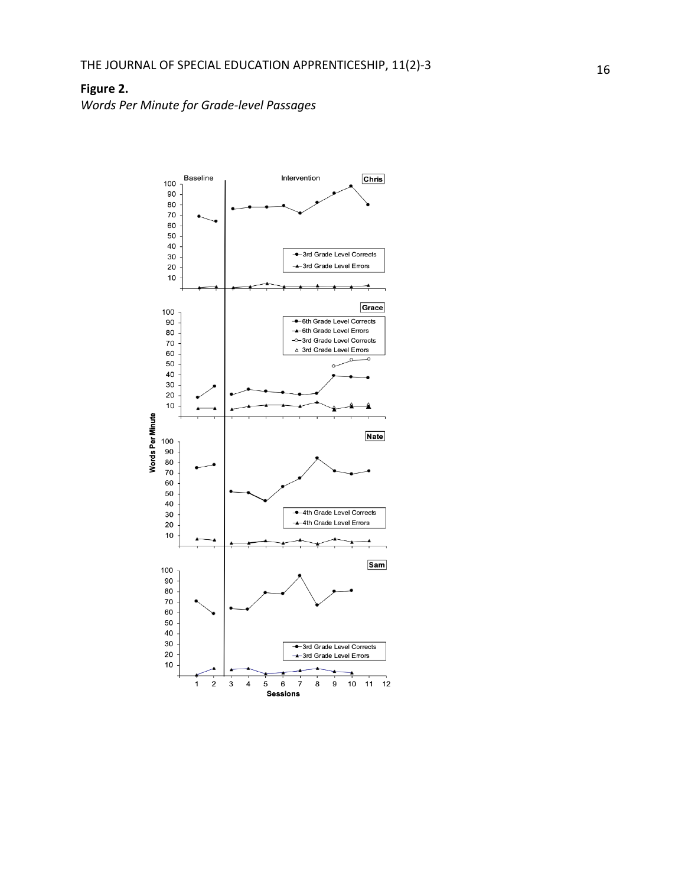# **Figure 2.**

*Words Per Minute for Grade -level Passages*

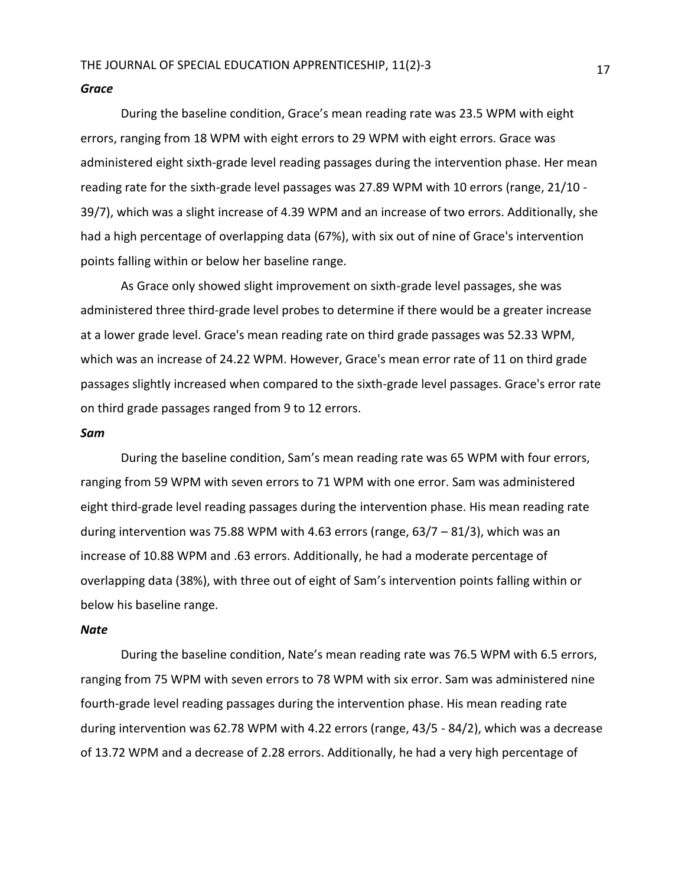#### *Grace*

During the baseline condition, Grace's mean reading rate was 23.5 WPM with eight errors, ranging from 18 WPM with eight errors to 29 WPM with eight errors. Grace was administered eight sixth-grade level reading passages during the intervention phase. Her mean reading rate for the sixth-grade level passages was 27.89 WPM with 10 errors (range, 21/10 - 39/7), which was a slight increase of 4.39 WPM and an increase of two errors. Additionally, she had a high percentage of overlapping data (67%), with six out of nine of Grace's intervention points falling within or below her baseline range.

As Grace only showed slight improvement on sixth-grade level passages, she was administered three third-grade level probes to determine if there would be a greater increase at a lower grade level. Grace's mean reading rate on third grade passages was 52.33 WPM, which was an increase of 24.22 WPM. However, Grace's mean error rate of 11 on third grade passages slightly increased when compared to the sixth-grade level passages. Grace's error rate on third grade passages ranged from 9 to 12 errors.

#### *Sam*

During the baseline condition, Sam's mean reading rate was 65 WPM with four errors, ranging from 59 WPM with seven errors to 71 WPM with one error. Sam was administered eight third-grade level reading passages during the intervention phase. His mean reading rate during intervention was 75.88 WPM with 4.63 errors (range, 63/7 – 81/3), which was an increase of 10.88 WPM and .63 errors. Additionally, he had a moderate percentage of overlapping data (38%), with three out of eight of Sam's intervention points falling within or below his baseline range.

#### *Nate*

During the baseline condition, Nate's mean reading rate was 76.5 WPM with 6.5 errors, ranging from 75 WPM with seven errors to 78 WPM with six error. Sam was administered nine fourth-grade level reading passages during the intervention phase. His mean reading rate during intervention was 62.78 WPM with 4.22 errors (range, 43/5 - 84/2), which was a decrease of 13.72 WPM and a decrease of 2.28 errors. Additionally, he had a very high percentage of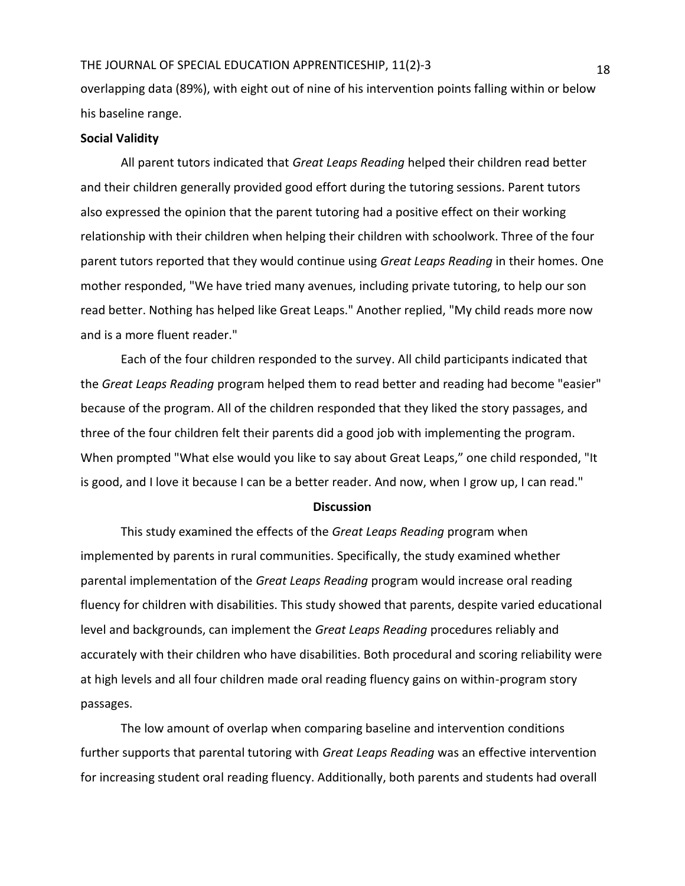overlapping data (89%), with eight out of nine of his intervention points falling within or below his baseline range.

#### **Social Validity**

All parent tutors indicated that *Great Leaps Reading* helped their children read better and their children generally provided good effort during the tutoring sessions. Parent tutors also expressed the opinion that the parent tutoring had a positive effect on their working relationship with their children when helping their children with schoolwork. Three of the four parent tutors reported that they would continue using *Great Leaps Reading* in their homes. One mother responded, "We have tried many avenues, including private tutoring, to help our son read better. Nothing has helped like Great Leaps." Another replied, "My child reads more now and is a more fluent reader."

Each of the four children responded to the survey. All child participants indicated that the *Great Leaps Reading* program helped them to read better and reading had become "easier" because of the program. All of the children responded that they liked the story passages, and three of the four children felt their parents did a good job with implementing the program. When prompted "What else would you like to say about Great Leaps," one child responded, "It is good, and I love it because I can be a better reader. And now, when I grow up, I can read."

#### **Discussion**

This study examined the effects of the *Great Leaps Reading* program when implemented by parents in rural communities. Specifically, the study examined whether parental implementation of the *Great Leaps Reading* program would increase oral reading fluency for children with disabilities. This study showed that parents, despite varied educational level and backgrounds, can implement the *Great Leaps Reading* procedures reliably and accurately with their children who have disabilities. Both procedural and scoring reliability were at high levels and all four children made oral reading fluency gains on within-program story passages.

The low amount of overlap when comparing baseline and intervention conditions further supports that parental tutoring with *Great Leaps Reading* was an effective intervention for increasing student oral reading fluency. Additionally, both parents and students had overall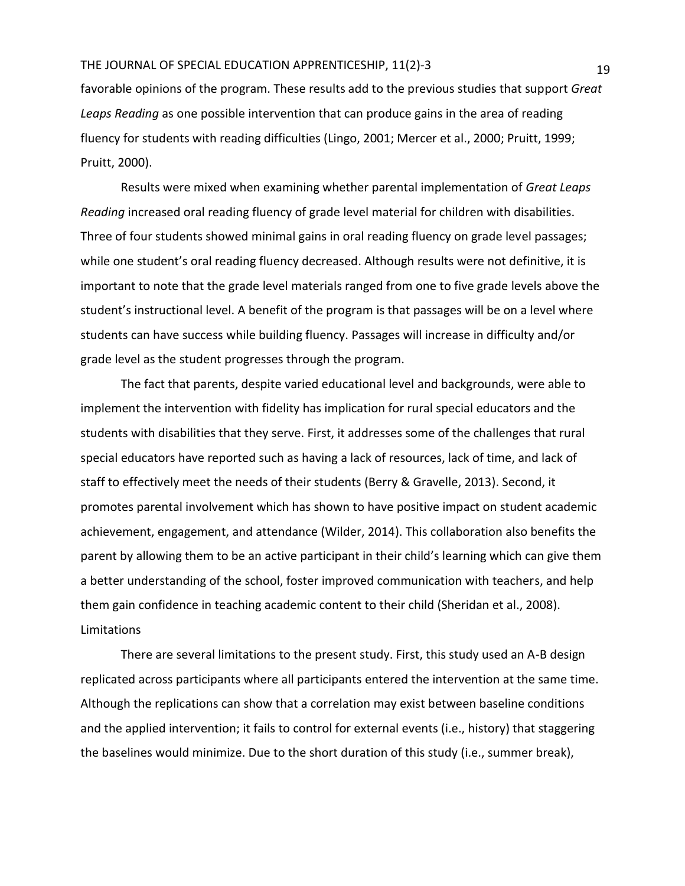favorable opinions of the program. These results add to the previous studies that support *Great Leaps Reading* as one possible intervention that can produce gains in the area of reading fluency for students with reading difficulties (Lingo, 2001; Mercer et al., 2000; Pruitt, 1999; Pruitt, 2000).

Results were mixed when examining whether parental implementation of *Great Leaps Reading* increased oral reading fluency of grade level material for children with disabilities. Three of four students showed minimal gains in oral reading fluency on grade level passages; while one student's oral reading fluency decreased. Although results were not definitive, it is important to note that the grade level materials ranged from one to five grade levels above the student's instructional level. A benefit of the program is that passages will be on a level where students can have success while building fluency. Passages will increase in difficulty and/or grade level as the student progresses through the program.

The fact that parents, despite varied educational level and backgrounds, were able to implement the intervention with fidelity has implication for rural special educators and the students with disabilities that they serve. First, it addresses some of the challenges that rural special educators have reported such as having a lack of resources, lack of time, and lack of staff to effectively meet the needs of their students (Berry & Gravelle, 2013). Second, it promotes parental involvement which has shown to have positive impact on student academic achievement, engagement, and attendance (Wilder, 2014). This collaboration also benefits the parent by allowing them to be an active participant in their child's learning which can give them a better understanding of the school, foster improved communication with teachers, and help them gain confidence in teaching academic content to their child (Sheridan et al., 2008). Limitations

There are several limitations to the present study. First, this study used an A-B design replicated across participants where all participants entered the intervention at the same time. Although the replications can show that a correlation may exist between baseline conditions and the applied intervention; it fails to control for external events (i.e., history) that staggering the baselines would minimize. Due to the short duration of this study (i.e., summer break),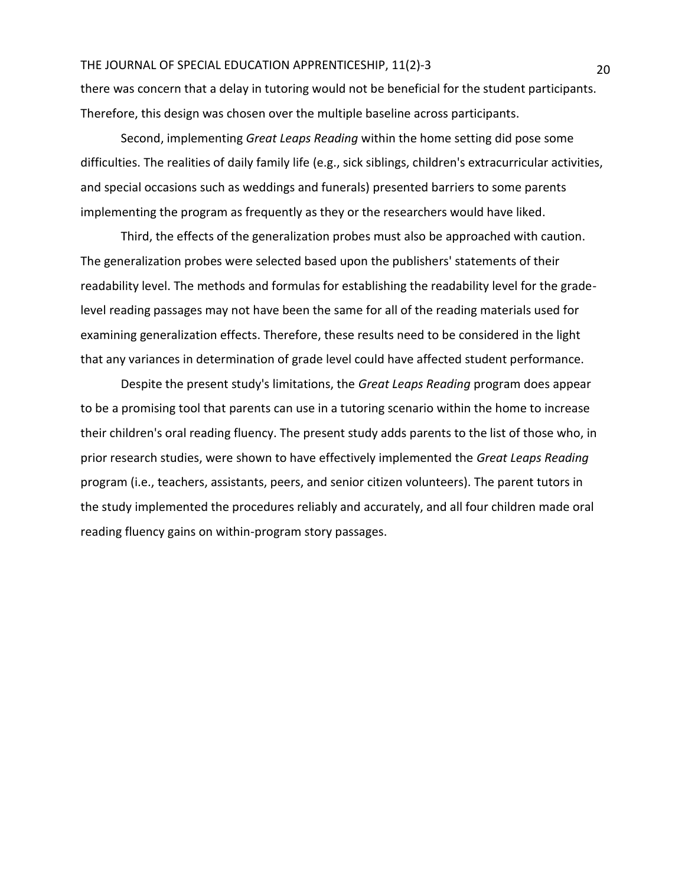there was concern that a delay in tutoring would not be beneficial for the student participants. Therefore, this design was chosen over the multiple baseline across participants.

Second, implementing *Great Leaps Reading* within the home setting did pose some difficulties. The realities of daily family life (e.g., sick siblings, children's extracurricular activities, and special occasions such as weddings and funerals) presented barriers to some parents implementing the program as frequently as they or the researchers would have liked.

Third, the effects of the generalization probes must also be approached with caution. The generalization probes were selected based upon the publishers' statements of their readability level. The methods and formulas for establishing the readability level for the gradelevel reading passages may not have been the same for all of the reading materials used for examining generalization effects. Therefore, these results need to be considered in the light that any variances in determination of grade level could have affected student performance.

Despite the present study's limitations, the *Great Leaps Reading* program does appear to be a promising tool that parents can use in a tutoring scenario within the home to increase their children's oral reading fluency. The present study adds parents to the list of those who, in prior research studies, were shown to have effectively implemented the *Great Leaps Reading* program (i.e., teachers, assistants, peers, and senior citizen volunteers). The parent tutors in the study implemented the procedures reliably and accurately, and all four children made oral reading fluency gains on within-program story passages.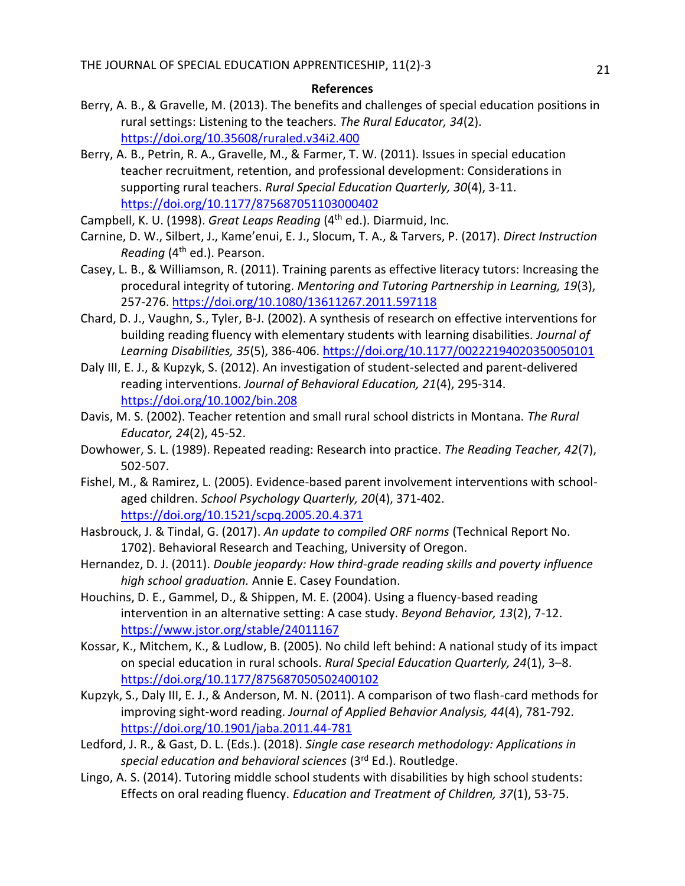#### **References**

- Berry, A. B., & Gravelle, M. (2013). The benefits and challenges of special education positions in rural settings: Listening to the teachers. *The Rural Educator, 34*(2). <https://doi.org/10.35608/ruraled.v34i2.400>
- Berry, A. B., Petrin, R. A., Gravelle, M., & Farmer, T. W. (2011). Issues in special education teacher recruitment, retention, and professional development: Considerations in supporting rural teachers. *Rural Special Education Quarterly, 30*(4), 3-11. <https://doi.org/10.1177/875687051103000402>
- Campbell, K. U. (1998). *Great Leaps Reading* (4<sup>th</sup> ed.). Diarmuid, Inc.
- Carnine, D. W., Silbert, J., Kame'enui, E. J., Slocum, T. A., & Tarvers, P. (2017). *Direct Instruction Reading* (4th ed.). Pearson.
- Casey, L. B., & Williamson, R. (2011). Training parents as effective literacy tutors: Increasing the procedural integrity of tutoring. *Mentoring and Tutoring Partnership in Learning, 19*(3), 257-276.<https://doi.org/10.1080/13611267.2011.597118>
- Chard, D. J., Vaughn, S., Tyler, B-J. (2002). A synthesis of research on effective interventions for building reading fluency with elementary students with learning disabilities. *Journal of Learning Disabilities, 35*(5), 386-406.<https://doi.org/10.1177/00222194020350050101>
- Daly III, E. J., & Kupzyk, S. (2012). An investigation of student-selected and parent-delivered reading interventions. *Journal of Behavioral Education, 21*(4), 295-314. <https://doi.org/10.1002/bin.208>
- Davis, M. S. (2002). Teacher retention and small rural school districts in Montana. *The Rural Educator, 24*(2), 45-52.
- Dowhower, S. L. (1989). Repeated reading: Research into practice. *The Reading Teacher, 42*(7), 502-507.
- Fishel, M., & Ramirez, L. (2005). Evidence-based parent involvement interventions with schoolaged children. *School Psychology Quarterly, 20*(4), 371-402. <https://doi.org/10.1521/scpq.2005.20.4.371>
- Hasbrouck, J. & Tindal, G. (2017). *An update to compiled ORF norms* (Technical Report No. 1702). Behavioral Research and Teaching, University of Oregon.
- Hernandez, D. J. (2011). *Double jeopardy: How third-grade reading skills and poverty influence high school graduation.* Annie E. Casey Foundation.
- Houchins, D. E., Gammel, D., & Shippen, M. E. (2004). Using a fluency-based reading intervention in an alternative setting: A case study. *Beyond Behavior, 13*(2), 7-12. <https://www.jstor.org/stable/24011167>
- Kossar, K., Mitchem, K., & Ludlow, B. (2005). No child left behind: A national study of its impact on special education in rural schools. *Rural Special Education Quarterly, 24*(1), 3–8. <https://doi.org/10.1177/875687050502400102>
- Kupzyk, S., Daly III, E. J., & Anderson, M. N. (2011). A comparison of two flash-card methods for improving sight-word reading. *Journal of Applied Behavior Analysis, 44*(4), 781-792. <https://doi.org/10.1901/jaba.2011.44-781>
- Ledford, J. R., & Gast, D. L. (Eds.). (2018). *Single case research methodology: Applications in special education and behavioral sciences* (3rd Ed.). Routledge.
- Lingo, A. S. (2014). Tutoring middle school students with disabilities by high school students: Effects on oral reading fluency. *Education and Treatment of Children, 37*(1), 53-75.